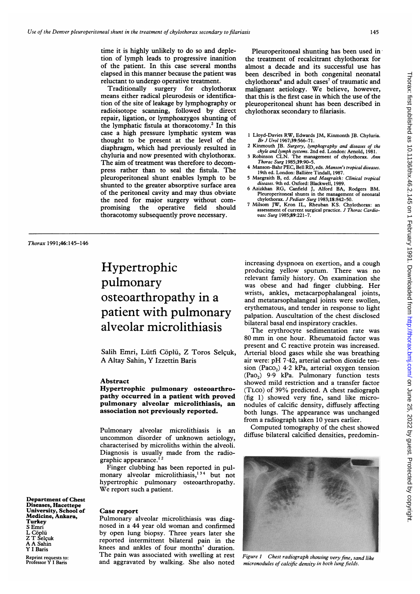time it is highly unlikely to do so and depletion of lymph leads to progressive inanition of the patient. In this case several months elapsed in this manner because the patient was reluctant to undergo operative treatment.

Traditionally surgery for chylothorax means either radical pleurodesis or identification of the site of leakage by lymphography or radioisotope scanning, followed by direct repair, ligation, or lymphoazygos shunting of the lymphatic fistula at thoracotomy.<sup>2</sup> In this case a high pressure lymphatic system was thought to be present at the level of the diaphragm, which had previously resulted in chyluria and now presented with chylothorax. The aim of treatment was therefore to decompress rather than to seal the fistula. The pleuroperitoneal shunt enables lymph to be shunted to the greater absorptive surface area of the peritoneal cavity and may thus obviate the need for major surgery without compromising the operative field should thoracotomy subsequently prove necessary.

Thorax 1991;46:145-146

## Hypertrophic pulmonary osteoarthropathy in a patient with pulmonary alveolar microlithiasis

Salih Emri, Lütfi Cöplü, Z Toros Selcuk, A Altay Sahin, Y Izzettin Baris

## Abstract

Hypertrophic pulmonary osteoarthropathy occurred in a patient with proved pulmonary alveolar microlithiasis, an association not previously reported.

Pulmonary alveolar microlithiasis is an uncommon disorder of unknown aetiology, characterised by microliths within the alveoli. Diagnosis is usually made from the radiographic appearance. $^{1}$ 

Finger clubbing has been reported in pulmonary alveolar microlithiasis,<sup>134</sup> but not hypertrophic pulmonary osteoarthropathy. We report such <sup>a</sup> patient.

Department of Chest Diseases, Hacettepe University, School of Medicine, Ankara, Turkey S Emri L Cöplü<br>Z T Selçuk A Sahin Y <sup>I</sup> Baris

Reprint requests to: Professor Y <sup>I</sup> Baris

## Case report

Pulmonary alveolar microlithiasis was diagnosed in a 44 year old woman and confirmed by open lung biopsy. Three years later she reported intermittent bilateral pain in the knees and ankles of four months' duration. The pain was associated with swelling at rest and aggravated by walking. She also noted

Pleuroperitoneal shunting has been used in' the treatment of recalcitrant chylothorax for almost a decade and its successful use has been described in both congenital neonatal chylothorax<sup>6</sup> and adult cases<sup>7</sup> of traumatic and malignant aetiology. We believe, however, that this is the first case in which the use of the pleuroperitoneal shunt has been described in chylothorax secondary to filariasis.

- <sup>1</sup> Lloyd-Davies RW, Edwards JM, Kinmonth JB. Chyluria. Br J Urol 1967;39:566-71.
- 2 Kinmouth JB. Surgery, lymphography and diseases of the chyle and lymph systems. 2nd ed. London: Arnold, 1981.<br>3 Robinson CLN. The management of chylothorax. Ann
- Thorac Surg 1985;39:90-5.
- 4 Manson-Bahr PEC, Bell RD, eds. Manson's tropical diseases. 19th ed. London: Balliere Tindall, 1987.
- 5 Maegraith B, ed. Adams and Maegraith: Clinical tropical<br>diseases. 9th ed. Oxford: Blackwell, 1989.<br>6 Azizkhan RG, Canfield J, Alford BA, Rodgers BM.<br>Pleuroperitoneal shunts in the management of neonatal
- chylothorax. JPediatr Surg 1983;18:842-50. 7 Milsom JW, Kron IL, Rheuban KS. Chylothorax: an
- assessment of current surgical practice. J Thorac Cardiovasc Surg 1985;89:221-7.

increasing dyspnoea on exertion, and a cough producing yellow sputum. There was no relevant family history. On examination she was obese and had finger clubbing. Her wrists, ankles, metacarpophalangeal joints, and metatarsophalangeal joints were swollen, erythematous, and tender in response to light palpation. Auscultation of the chest disclosed bilateral basal end inspiratory crackles.

The erythrocyte sedimentation rate was <sup>80</sup> mm in one hour. Rheumatoid factor was present and C reactive protein was increased. Arterial blood gases while she was breathing air were: pH 7-42, arterial carbon dioxide tension (Paco<sub>2</sub>) 4.2 kPa, arterial oxygen tension  $(Pao<sub>2</sub>)$  9.9 kPa. Pulmonary function tests showed mild restriction and a transfer factor (TLCO) of 39% predicted. A chest radiograph (fig 1) showed very fine, sand like micronodules of calcific density, diffusely affecting both lungs. The appearance was unchanged from a radiograph taken 10 years earlier.

Computed tomography of the chest showed diffuse bilateral calcified densities, predomin-



Figure 1 Chest radiograph showing very fine, sand like micronodules of calcific density in both lung fields.